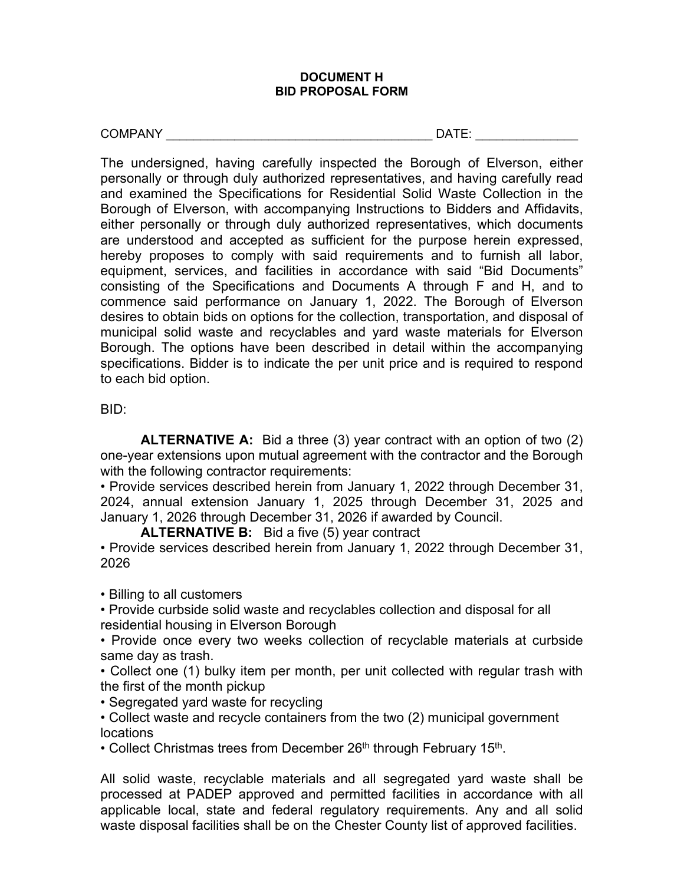## **DOCUMENT H BID PROPOSAL FORM**

COMPANY EXAMPROVER THE SERVICE OF THE SERVICE OF THE SERVICE OF THE SERVICE OF THE SERVICE OF THE SERVICE OF THE SERVICE OF THE SERVICE OF THE SERVICE OF THE SERVICE OF THE SERVICE OF THE SERVICE OF THE SERVICE OF THE SERV

The undersigned, having carefully inspected the Borough of Elverson, either personally or through duly authorized representatives, and having carefully read and examined the Specifications for Residential Solid Waste Collection in the Borough of Elverson, with accompanying Instructions to Bidders and Affidavits, either personally or through duly authorized representatives, which documents are understood and accepted as sufficient for the purpose herein expressed, hereby proposes to comply with said requirements and to furnish all labor, equipment, services, and facilities in accordance with said "Bid Documents" consisting of the Specifications and Documents A through F and H, and to commence said performance on January 1, 2022. The Borough of Elverson desires to obtain bids on options for the collection, transportation, and disposal of municipal solid waste and recyclables and yard waste materials for Elverson Borough. The options have been described in detail within the accompanying specifications. Bidder is to indicate the per unit price and is required to respond to each bid option.

## BID:

**ALTERNATIVE A:** Bid a three (3) year contract with an option of two (2) one-year extensions upon mutual agreement with the contractor and the Borough with the following contractor requirements:

• Provide services described herein from January 1, 2022 through December 31, 2024, annual extension January 1, 2025 through December 31, 2025 and January 1, 2026 through December 31, 2026 if awarded by Council.

**ALTERNATIVE B:** Bid a five (5) year contract

• Provide services described herein from January 1, 2022 through December 31, 2026

• Billing to all customers

• Provide curbside solid waste and recyclables collection and disposal for all residential housing in Elverson Borough

• Provide once every two weeks collection of recyclable materials at curbside same day as trash.

• Collect one (1) bulky item per month, per unit collected with regular trash with the first of the month pickup

• Segregated yard waste for recycling

• Collect waste and recycle containers from the two (2) municipal government locations

• Collect Christmas trees from December  $26<sup>th</sup>$  through February 15<sup>th</sup>.

All solid waste, recyclable materials and all segregated yard waste shall be processed at PADEP approved and permitted facilities in accordance with all applicable local, state and federal regulatory requirements. Any and all solid waste disposal facilities shall be on the Chester County list of approved facilities.